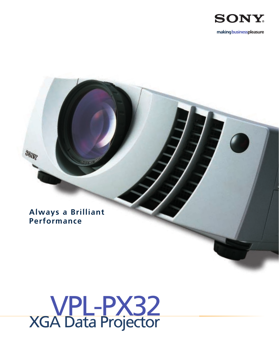

making businesspleasure

Always a Brilliant Performance

30/17

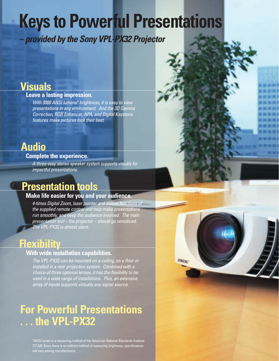# **Keys to Powerful Presentations**

*– provided by the Sony VPL-PX32 Projector*

# **Visuals**

### **Leave a lasting impression.**

*With 3000 ANSI lumens\* brightness, it is easy to view presentations in any environment. And the 3D Gamma Correction, RGB Enhancer, APA, and Digital Keystone features make pictures look their best.*

# **Audio**

### **Complete the experience.**

*A three-way stereo speaker system supports visuals for impactful presentations.*

# **Presentation tools**

### **Make life easier for you and your audience.**

*4-times Digital Zoom, laser pointer and mouse functions of the supplied remote control unit help make presentations run smoothly, and keep the audience involved. The main presentation tool – the projector – should go unnoticed. The VPL-PX32 is almost silent.* 

### **Flexibility**

### **With wide installation capabilities.**

*The VPL-PX32 can be mounted on a ceiling, on a floor or installed in a rear projection system. Combined with a choice of three optional lenses, it has the flexibility to be used in a wide range of installations. Plus, an extensive array of inputs supports virtually any signal source.*

# **For Powerful Presentations . . . the VPL-PX32**

\*ANSI lumen is a measuring method of the American National Standards Institute IT7.228. Since there is no uniform method of measuring brightness, specifications will vary among manufacturers.

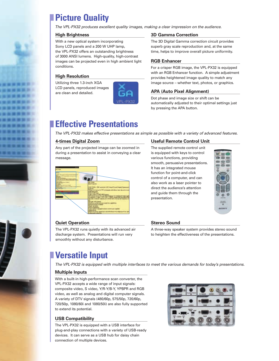# **Picture Quality**

*The VPL-PX32 produces excellent quality images, making a clear impression on the audience.*

#### **High Brightness**

With a new optical system incorporating Sony LCD panels and a 200 W UHP lamp, the VPL-PX32 offers an outstanding brightness of 3000 ANSI lumens. High-quality, high-contrast images can be projected even in high ambient light conditions.

#### **High Resolution**

--------------

Utilizing three 1.3-inch XGA LCD panels, reproduced images are clean and detailed.



#### **3D Gamma Correction**

The 3D Digital Gamma correction circuit provides superb gray scale reproduction and, at the same time, helps to improve overall picture uniformity.

#### **RGB Enhancer**

For a crisper RGB image, the VPL-PX32 is equipped with an RGB Enhancer function. A simple adjustment provides heightened image quality to match any image source – whether text, photos, or graphics.

#### **APA (Auto Pixel Alignment)**

Dot phase and image size or shift can be automatically adjusted to their optimal settings just by pressing the APA button.

# **Effective Presentations**

*The VPL-PX32 makes effective presentations as simple as possible with a variety of advanced features.*

#### **4-times Digital Zoom**

Any part of the projected image can be zoomed in during a presentation to assist in conveying a clear message.



#### **Quiet Operation**

The VPL-PX32 runs quietly with its advanced air discharge system. Presentations will run very smoothly without any disturbance.

#### **Useful Remote Control Unit**

The supplied remote control unit is equipped with keys to control various functions, providing smooth, persuasive presentations. It has an integrated mouse function for point-and-click control of a computer, and can also work as a laser pointer to direct the audience's attention and guide them through the presentation.



#### **Stereo Sound**

A three-way speaker system provides stereo sound to heighten the effectiveness of the presentations.

# **Versatile Input**

*The VPL-PX32 is equipped with multiple interfaces to meet the various demands for today's presentations.*

#### **Multiple Inputs**

With a built-in high-performance scan converter, the VPL-PX32 accepts a wide range of input signals: composite video, S video, Y/R-Y/B-Y, YPBPR and RGB video, as well as analog and digital computer signals. A variety of DTV signals (480/60p, 575/50p, 720/60p, 720/50p, 1080/60i and 1080/50i) are also fully supported to extend its potential.

#### **USB Compatibility**

The VPL-PX32 is equipped with a USB interface for plug-and-play connections with a variety of USB-ready devices. It can serve as a USB hub for daisy chain connection of multiple devices.

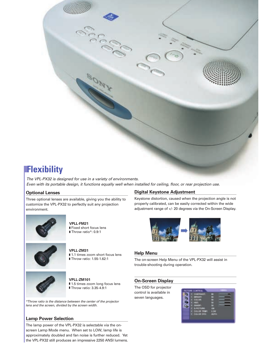

*The VPL-PX32 is designed for use in a variety of environments. Even with its portable design, it functions equally well when installed for ceiling, floor, or rear projection use.*

#### **Optional Lenses**

Three optional lenses are available, giving you the ability to customize the VPL-PX32 to perfectly suit any projection environment.



**VPLL-FM21** ■ Fixed short focus lens ■ Throw ratio\*: 0.9:1



**VPLL-ZM31** ■ 1.1 times zoom short focus lens ■ Throw ratio: 1.55-1.62:1



**VPLL-ZM101** ■ 1.5 times zoom long focus lens ■ Throw ratio: 3.35-4.9:1

*\*Throw ratio is the distance between the center of the projector lens and the screen, divided by the screen width.*

#### **Lamp Power Selection**

The lamp power of the VPL-PX32 is selectable via the onscreen Lamp Mode menu. When set to LOW, lamp life is approximately doubled and fan noise is further reduced. Yet the VPL-PX32 still produces an impressive 2250 ANSI lumens.

#### **Digital Keystone Adjustment**

Keystone distortion, caused when the projection angle is not properly calibrated, can be easily corrected within the wide adjustment range of +/- 20 degrees via the On-Screen Display.



#### **Help Menu**

The on-screen Help Menu of the VPL-PX32 will assist in trouble-shooting during operation.

#### **On-Screen Display**

The OSD for projector control is available in seven languages.

| mann<br>m           |  |
|---------------------|--|
| <b>SERVICE</b><br>m |  |
|                     |  |
|                     |  |
| ю<br>п              |  |
|                     |  |
|                     |  |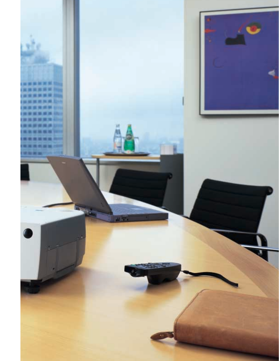